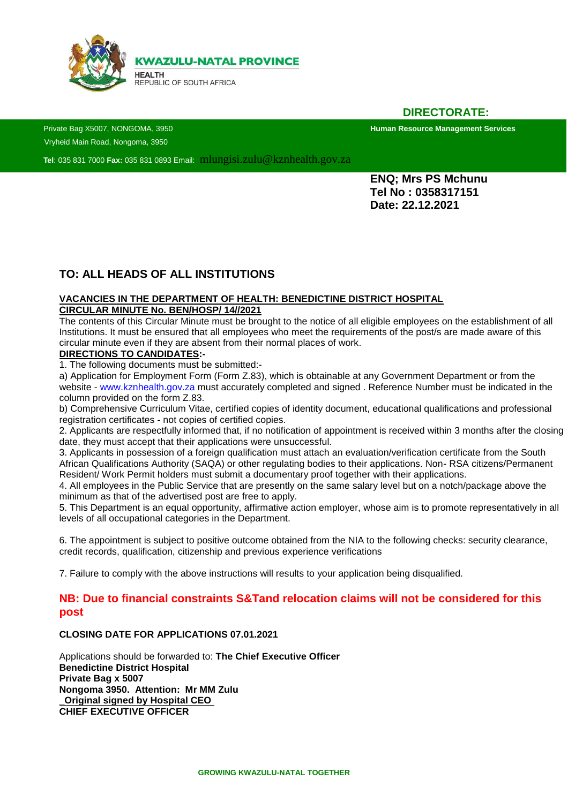

### **DIRECTORATE:**

Vryheid Main Road, Nongoma, 3950

Private Bag X5007, NONGOMA, 3950 **Human Resource Management Services**

**Tel**: 035 831 7000 **Fax:** <sup>035</sup> 831 0893 Email: mlungisi.zulu@kznhealth.gov.za

 **ENQ; Mrs PS Mchunu Tel No : 0358317151 Date: 22.12.2021**

## **TO: ALL HEADS OF ALL INSTITUTIONS**

#### **VACANCIES IN THE DEPARTMENT OF HEALTH: BENEDICTINE DISTRICT HOSPITAL CIRCULAR MINUTE No. BEN/HOSP/ 14//2021**

The contents of this Circular Minute must be brought to the notice of all eligible employees on the establishment of all Institutions. It must be ensured that all employees who meet the requirements of the post/s are made aware of this circular minute even if they are absent from their normal places of work.

### **DIRECTIONS TO CANDIDATES:-**

1. The following documents must be submitted:-

a) Application for Employment Form (Form Z.83), which is obtainable at any Government Department or from the website - www.kznhealth.gov.za must accurately completed and signed . Reference Number must be indicated in the column provided on the form Z.83.

b) Comprehensive Curriculum Vitae, certified copies of identity document, educational qualifications and professional registration certificates - not copies of certified copies.

2. Applicants are respectfully informed that, if no notification of appointment is received within 3 months after the closing date, they must accept that their applications were unsuccessful.

3. Applicants in possession of a foreign qualification must attach an evaluation/verification certificate from the South African Qualifications Authority (SAQA) or other regulating bodies to their applications. Non- RSA citizens/Permanent Resident/ Work Permit holders must submit a documentary proof together with their applications.

4. All employees in the Public Service that are presently on the same salary level but on a notch/package above the minimum as that of the advertised post are free to apply.

5. This Department is an equal opportunity, affirmative action employer, whose aim is to promote representatively in all levels of all occupational categories in the Department.

6. The appointment is subject to positive outcome obtained from the NIA to the following checks: security clearance, credit records, qualification, citizenship and previous experience verifications

7. Failure to comply with the above instructions will results to your application being disqualified.

### **NB: Due to financial constraints S&Tand relocation claims will not be considered for this post**

#### **CLOSING DATE FOR APPLICATIONS 07.01.2021**

Applications should be forwarded to: **The Chief Executive Officer Benedictine District Hospital Private Bag x 5007 Nongoma 3950. Attention: Mr MM Zulu \_Original signed by Hospital CEO CHIEF EXECUTIVE OFFICER**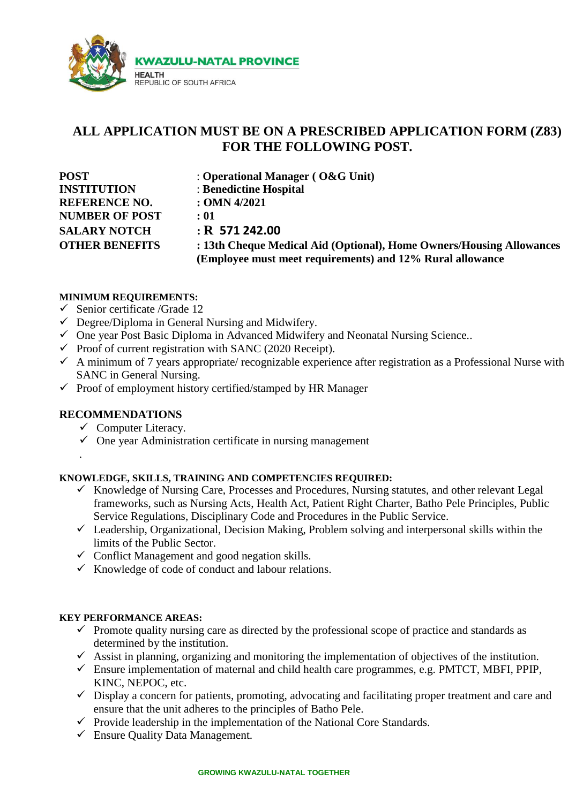

# **ALL APPLICATION MUST BE ON A PRESCRIBED APPLICATION FORM (Z83) FOR THE FOLLOWING POST.**

| <b>POST</b>           | : Operational Manager ( $O&G$ Unit)                                  |
|-----------------------|----------------------------------------------------------------------|
| <b>INSTITUTION</b>    | : Benedictine Hospital                                               |
| <b>REFERENCE NO.</b>  | $:$ OMN 4/2021                                                       |
| <b>NUMBER OF POST</b> | : 01                                                                 |
| <b>SALARY NOTCH</b>   | $:$ R 571 242.00                                                     |
| <b>OTHER BENEFITS</b> | : 13th Cheque Medical Aid (Optional), Home Owners/Housing Allowances |
|                       | (Employee must meet requirements) and 12% Rural allowance            |

#### **MINIMUM REQUIREMENTS:**

- $\checkmark$  Senior certificate /Grade 12
- $\checkmark$  Degree/Diploma in General Nursing and Midwifery.
- One year Post Basic Diploma in Advanced Midwifery and Neonatal Nursing Science..
- $\checkmark$  Proof of current registration with SANC (2020 Receipt).
- $\checkmark$  A minimum of 7 years appropriate/ recognizable experience after registration as a Professional Nurse with SANC in General Nursing.
- $\checkmark$  Proof of employment history certified/stamped by HR Manager

#### **RECOMMENDATIONS**

.

- $\checkmark$  Computer Literacy.
- $\checkmark$  One year Administration certificate in nursing management

#### **KNOWLEDGE, SKILLS, TRAINING AND COMPETENCIES REQUIRED:**

- $\checkmark$  Knowledge of Nursing Care, Processes and Procedures, Nursing statutes, and other relevant Legal frameworks, such as Nursing Acts, Health Act, Patient Right Charter, Batho Pele Principles, Public Service Regulations, Disciplinary Code and Procedures in the Public Service.
- $\checkmark$  Leadership, Organizational, Decision Making, Problem solving and interpersonal skills within the limits of the Public Sector.
- $\checkmark$  Conflict Management and good negation skills.
- $\checkmark$  Knowledge of code of conduct and labour relations.

#### **KEY PERFORMANCE AREAS:**

- $\checkmark$  Promote quality nursing care as directed by the professional scope of practice and standards as determined by the institution.
- $\checkmark$  Assist in planning, organizing and monitoring the implementation of objectives of the institution.
- $\checkmark$  Ensure implementation of maternal and child health care programmes, e.g. PMTCT, MBFI, PPIP, KINC, NEPOC, etc.
- $\checkmark$  Display a concern for patients, promoting, advocating and facilitating proper treatment and care and ensure that the unit adheres to the principles of Batho Pele.
- $\checkmark$  Provide leadership in the implementation of the National Core Standards.
- $\checkmark$  Ensure Quality Data Management.